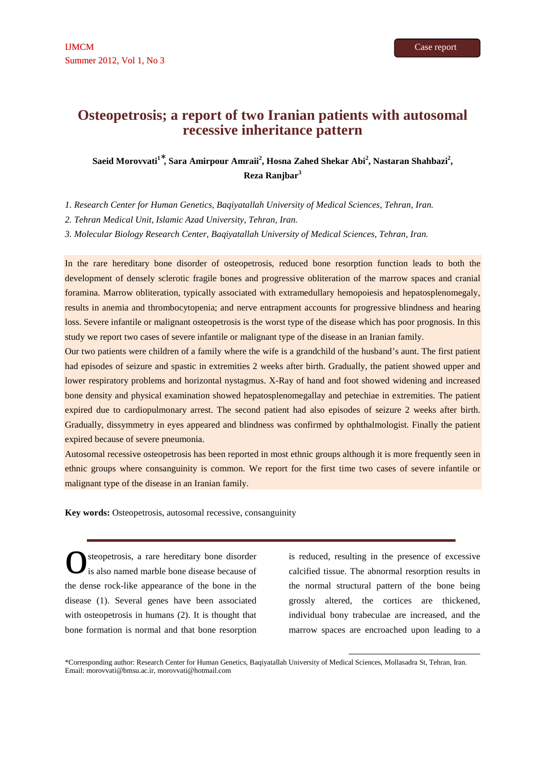# **Osteopetrosis; a report of two Iranian patients with autosomal recessive inheritance pattern**

# **Saeid Morovvati<sup>1</sup>**<sup>∗</sup> **, Sara Amirpour Amraii<sup>2</sup> , Hosna Zahed Shekar Abi<sup>2</sup> , Nastaran Shahbazi<sup>2</sup> , Reza Ranjbar<sup>3</sup>**

*1. Research Center for Human Genetics, Baqiyatallah University of Medical Sciences, Tehran, Iran.*

*2. Tehran Medical Unit, Islamic Azad University, Tehran, Iran.* 

*3. Molecular Biology Research Center, Baqiyatallah University of Medical Sciences, Tehran, Iran.* 

In the rare hereditary bone disorder of osteopetrosis, reduced bone resorption function leads to both the development of densely sclerotic fragile bones and progressive obliteration of the marrow spaces and cranial foramina. Marrow obliteration, typically associated with extramedullary hemopoiesis and hepatosplenomegaly, results in anemia and thrombocytopenia; and nerve entrapment accounts for progressive blindness and hearing loss. Severe infantile or malignant osteopetrosis is the worst type of the disease which has poor prognosis. In this study we report two cases of severe infantile or malignant type of the disease in an Iranian family.

Our two patients were children of a family where the wife is a grandchild of the husband's aunt. The first patient had episodes of seizure and spastic in extremities 2 weeks after birth. Gradually, the patient showed upper and lower respiratory problems and horizontal nystagmus. X-Ray of hand and foot showed widening and increased bone density and physical examination showed hepatosplenomegallay and petechiae in extremities. The patient expired due to cardiopulmonary arrest. The second patient had also episodes of seizure 2 weeks after birth. Gradually, dissymmetry in eyes appeared and blindness was confirmed by ophthalmologist. Finally the patient expired because of severe pneumonia.

Autosomal recessive osteopetrosis has been reported in most ethnic groups although it is more frequently seen in ethnic groups where consanguinity is common. We report for the first time two cases of severe infantile or malignant type of the disease in an Iranian family.

**Key words:** Osteopetrosis, autosomal recessive, consanguinity

steopetrosis, a rare hereditary bone disorder is also named marble bone disease because of the dense rock-like appearance of the bone in the disease (1). Several genes have been associated with osteopetrosis in humans (2). It is thought that bone formation is normal and that bone resorption O<sup>o</sup>

is reduced, resulting in the presence of excessive calcified tissue. The abnormal resorption results in the normal structural pattern of the bone being grossly altered, the cortices are thickened, individual bony trabeculae are increased, and the marrow spaces are encroached upon leading to a

l

\*Corresponding author: Research Center for Human Genetics, Baqiyatallah University of Medical Sciences, Mollasadra St, Tehran, Iran. Email: morovvati@bmsu.ac.ir, morovvati@hotmail.com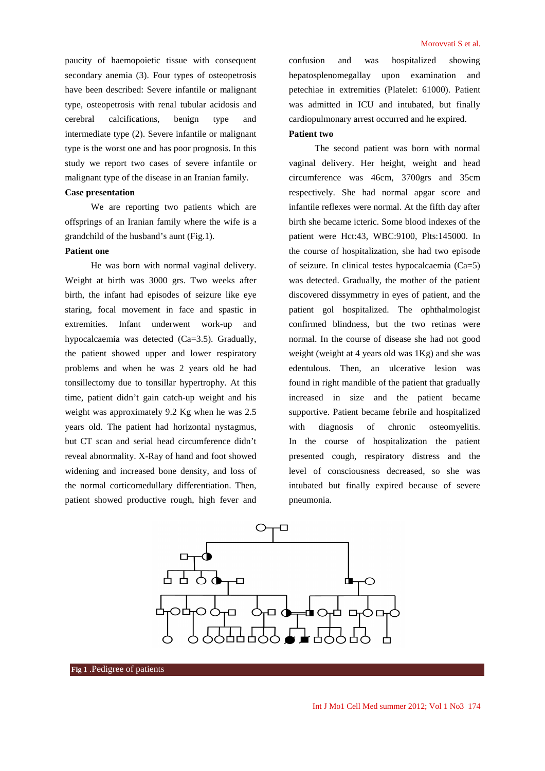paucity of haemopoietic tissue with consequent secondary anemia (3). Four types of osteopetrosis have been described: Severe infantile or malignant type, osteopetrosis with renal tubular acidosis and cerebral calcifications, benign type and intermediate type (2). Severe infantile or malignant type is the worst one and has poor prognosis. In this study we report two cases of severe infantile or malignant type of the disease in an Iranian family.

## **Case presentation**

We are reporting two patients which are offsprings of an Iranian family where the wife is a grandchild of the husband's aunt (Fig.1).

#### **Patient one**

He was born with normal vaginal delivery. Weight at birth was 3000 grs. Two weeks after birth, the infant had episodes of seizure like eye staring, focal movement in face and spastic in extremities. Infant underwent work-up and hypocalcaemia was detected (Ca=3.5). Gradually, the patient showed upper and lower respiratory problems and when he was 2 years old he had tonsillectomy due to tonsillar hypertrophy. At this time, patient didn't gain catch-up weight and his weight was approximately 9.2 Kg when he was 2.5 years old. The patient had horizontal nystagmus, but CT scan and serial head circumference didn't reveal abnormality. X-Ray of hand and foot showed widening and increased bone density, and loss of the normal corticomedullary differentiation. Then, patient showed productive rough, high fever and confusion and was hospitalized showing hepatosplenomegallay upon examination and petechiae in extremities (Platelet: 61000). Patient was admitted in ICU and intubated, but finally cardiopulmonary arrest occurred and he expired.

# **Patient two**

The second patient was born with normal vaginal delivery. Her height, weight and head circumference was 46cm, 3700grs and 35cm respectively. She had normal apgar score and infantile reflexes were normal. At the fifth day after birth she became icteric. Some blood indexes of the patient were Hct:43, WBC:9100, Plts:145000. In the course of hospitalization, she had two episode of seizure. In clinical testes hypocalcaemia (Ca=5) was detected. Gradually, the mother of the patient discovered dissymmetry in eyes of patient, and the patient gol hospitalized. The ophthalmologist confirmed blindness, but the two retinas were normal. In the course of disease she had not good weight (weight at 4 years old was 1Kg) and she was edentulous. Then, an ulcerative lesion was found in right mandible of the patient that gradually increased in size and the patient became supportive. Patient became febrile and hospitalized with diagnosis of chronic osteomyelitis. In the course of hospitalization the patient presented cough, respiratory distress and the level of consciousness decreased, so she was intubated but finally expired because of severe pneumonia.

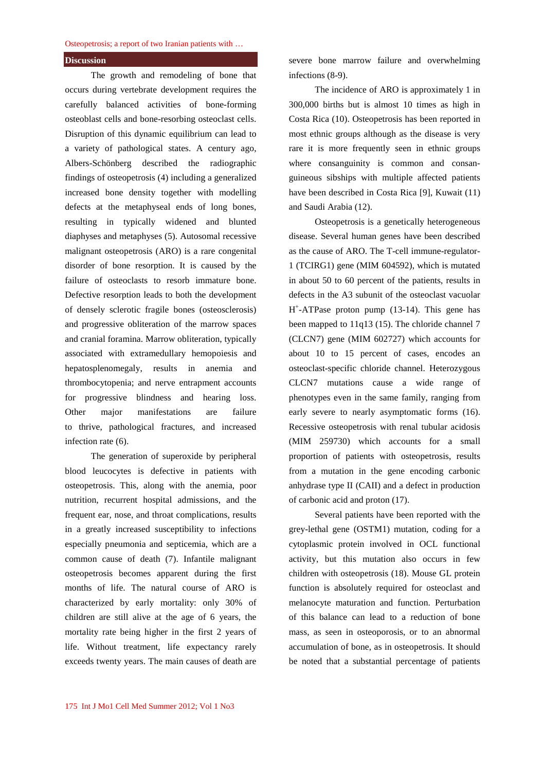#### Osteopetrosis; a report of two Iranian patients with …

### **Discussion**

The growth and remodeling of bone that occurs during vertebrate development requires the carefully balanced activities of bone-forming osteoblast cells and bone-resorbing osteoclast cells. Disruption of this dynamic equilibrium can lead to a variety of pathological states. A century ago, Albers-Schönberg described the radiographic findings of osteopetrosis (4) including a generalized increased bone density together with modelling defects at the metaphyseal ends of long bones, resulting in typically widened and blunted diaphyses and metaphyses (5). Autosomal recessive malignant osteopetrosis (ARO) is a rare congenital disorder of bone resorption. It is caused by the failure of osteoclasts to resorb immature bone. Defective resorption leads to both the development of densely sclerotic fragile bones (osteosclerosis) and progressive obliteration of the marrow spaces and cranial foramina. Marrow obliteration, typically associated with extramedullary hemopoiesis and hepatosplenomegaly, results in anemia and thrombocytopenia; and nerve entrapment accounts for progressive blindness and hearing loss. Other major manifestations are failure to thrive, pathological fractures, and increased infection rate (6).

The generation of superoxide by peripheral blood leucocytes is defective in patients with osteopetrosis. This, along with the anemia, poor nutrition, recurrent hospital admissions, and the frequent ear, nose, and throat complications, results in a greatly increased susceptibility to infections especially pneumonia and septicemia, which are a common cause of death (7). Infantile malignant osteopetrosis becomes apparent during the first months of life. The natural course of ARO is characterized by early mortality: only 30% of children are still alive at the age of 6 years, the mortality rate being higher in the first 2 years of life. Without treatment, life expectancy rarely exceeds twenty years. The main causes of death are

severe bone marrow failure and overwhelming infections (8-9).

The incidence of ARO is approximately 1 in 300,000 births but is almost 10 times as high in Costa Rica (10). Osteopetrosis has been reported in most ethnic groups although as the disease is very rare it is more frequently seen in ethnic groups where consanguinity is common and consanguineous sibships with multiple affected patients have been described in Costa Rica [9], Kuwait (11) and Saudi Arabia (12).

Osteopetrosis is a genetically heterogeneous disease. Several human genes have been described as the cause of ARO. The T-cell immune-regulator-1 (TCIRG1) gene (MIM 604592), which is mutated in about 50 to 60 percent of the patients, results in defects in the A3 subunit of the osteoclast vacuolar H + -ATPase proton pump (13-14). This gene has been mapped to 11q13 (15). The chloride channel 7 (CLCN7) gene (MIM 602727) which accounts for about 10 to 15 percent of cases, encodes an osteoclast-specific chloride channel. Heterozygous CLCN7 mutations cause a wide range of phenotypes even in the same family, ranging from early severe to nearly asymptomatic forms (16). Recessive osteopetrosis with renal tubular acidosis (MIM 259730) which accounts for a small proportion of patients with osteopetrosis, results from a mutation in the gene encoding carbonic anhydrase type II (CAII) and a defect in production of carbonic acid and proton (17).

Several patients have been reported with the grey-lethal gene (OSTM1) mutation, coding for a cytoplasmic protein involved in OCL functional activity, but this mutation also occurs in few children with osteopetrosis (18). Mouse GL protein function is absolutely required for osteoclast and melanocyte maturation and function. Perturbation of this balance can lead to a reduction of bone mass, as seen in osteoporosis, or to an abnormal accumulation of bone, as in osteopetrosis. It should be noted that a substantial percentage of patients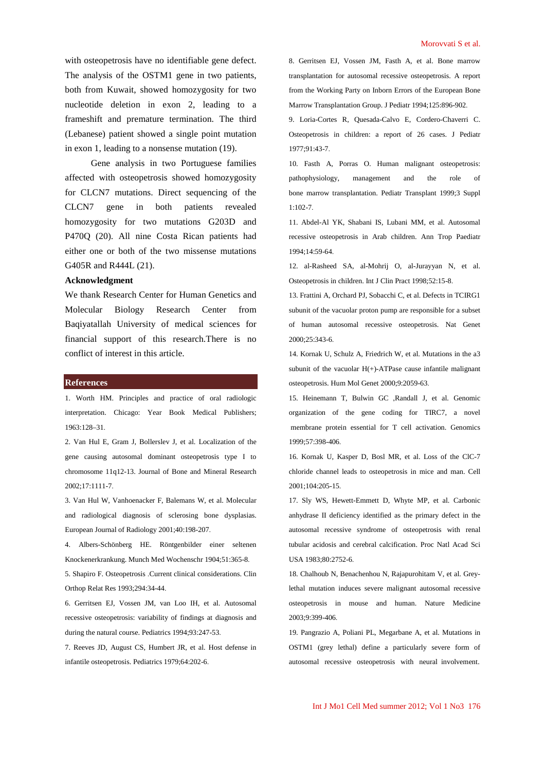with osteopetrosis have no identifiable gene defect. The analysis of the OSTM1 gene in two patients, both from Kuwait, showed homozygosity for two nucleotide deletion in exon 2, leading to a frameshift and premature termination. The third (Lebanese) patient showed a single point mutation in exon 1, leading to a nonsense mutation (19).

Gene analysis in two Portuguese families affected with osteopetrosis showed homozygosity for CLCN7 mutations. Direct sequencing of the CLCN7 gene in both patients revealed homozygosity for two mutations G203D and P470Q (20). All nine Costa Rican patients had either one or both of the two missense mutations G405R and R444L (21).

### **Acknowledgment**

We thank Research Center for Human Genetics and Molecular Biology Research Center from Baqiyatallah University of medical sciences for financial support of this research.There is no conflict of interest in this article.

#### **References**

1. Worth HM. Principles and practice of oral radiologic interpretation. Chicago: Year Book Medical Publishers; 1963:128–31.

2. Van Hul E, Gram J, Bollerslev J, et al. Localization of the gene causing autosomal dominant osteopetrosis type I to chromosome 11q12-13. Journal of Bone and Mineral Research 2002;17:1111-7.

3. Van Hul W, Vanhoenacker F, Balemans W, et al. Molecular and radiological diagnosis of sclerosing bone dysplasias. European Journal of Radiology 2001;40:198-207.

4. Albers-Schönberg HE. Röntgenbilder einer seltenen Knockenerkrankung. Munch Med Wochenschr 1904;51:365-8.

5. Shapiro F. Osteopetrosis .Current clinical considerations. Clin Orthop Relat Res 1993;294:34-44.

6. Gerritsen EJ, Vossen JM, van Loo IH, et al. Autosomal recessive osteopetrosis: variability of findings at diagnosis and during the natural course. Pediatrics 1994;93:247-53.

7. Reeves JD, August CS, Humbert JR, et al. Host defense in infantile osteopetrosis. Pediatrics 1979;64:202-6.

8. Gerritsen EJ, Vossen JM, Fasth A, et al. Bone marrow transplantation for autosomal recessive osteopetrosis. A report from the Working Party on Inborn Errors of the European Bone Marrow Transplantation Group. J Pediatr 1994;125:896-902.

9. Loria-Cortes R, Quesada-Calvo E, Cordero-Chaverri C. Osteopetrosis in children: a report of 26 cases. J Pediatr 1977;91:43-7.

10. Fasth A, Porras O. Human malignant osteopetrosis: pathophysiology, management and the role of bone marrow transplantation. Pediatr Transplant 1999;3 Suppl 1:102-7.

11. Abdel-Al YK, Shabani IS, Lubani MM, et al. Autosomal recessive osteopetrosis in Arab children. Ann Trop Paediatr 1994;14:59-64.

12. al-Rasheed SA, al-Mohrij O, al-Jurayyan N, et al. Osteopetrosis in children. Int J Clin Pract 1998;52:15-8.

13. Frattini A, Orchard PJ, Sobacchi C, et al. Defects in TCIRG1 subunit of the vacuolar proton pump are responsible for a subset of human autosomal recessive osteopetrosis. Nat Genet 2000;25:343-6.

14. Kornak U, Schulz A, Friedrich W, et al. Mutations in the a3 subunit of the vacuolar  $H(+)$ -ATPase cause infantile malignant osteopetrosis. Hum Mol Genet 2000;9:2059-63.

15. Heinemann T, Bulwin GC ,Randall J, et al. Genomic organization of the gene coding for TIRC7, a novel membrane protein essential for T cell activation. Genomics 1999;57:398-406.

16. Kornak U, Kasper D, Bosl MR, et al. Loss of the ClC-7 chloride channel leads to osteopetrosis in mice and man. Cell 2001;104:205-15.

17. Sly WS, Hewett-Emmett D, Whyte MP, et al. Carbonic anhydrase II deficiency identified as the primary defect in the autosomal recessive syndrome of osteopetrosis with renal tubular acidosis and cerebral calcification. Proc Natl Acad Sci USA 1983;80:2752-6.

18. Chalhoub N, Benachenhou N, Rajapurohitam V, et al. Greylethal mutation induces severe malignant autosomal recessive osteopetrosis in mouse and human. Nature Medicine 2003;9:399-406.

19. Pangrazio A, Poliani PL, Megarbane A, et al. Mutations in OSTM1 (grey lethal) define a particularly severe form of autosomal recessive osteopetrosis with neural involvement.